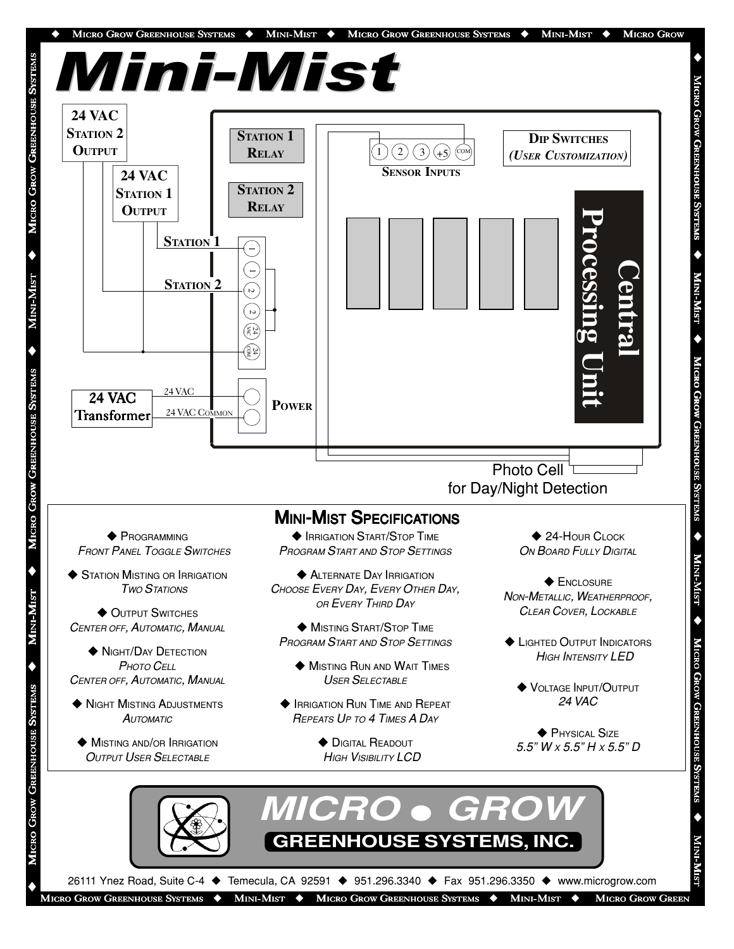

 $\blacklozenge$ 

26111 Ynez Road, Suite C-4 ◆ Temecula, CA 92591 ◆ 951.296.3340 ◆ Fax 951.296.3350 ◆ www.microgrow.com

MICRO GROW GREENHOUSE SYSTEMS  $\blacklozenge$  MINI-MIST  $\blacklozenge$  MICRO GROW GREENHOUSE SYSTEMS  $\blacklozenge$  MINI-MIST  $\blacklozenge$  MICRO GROW GREEN